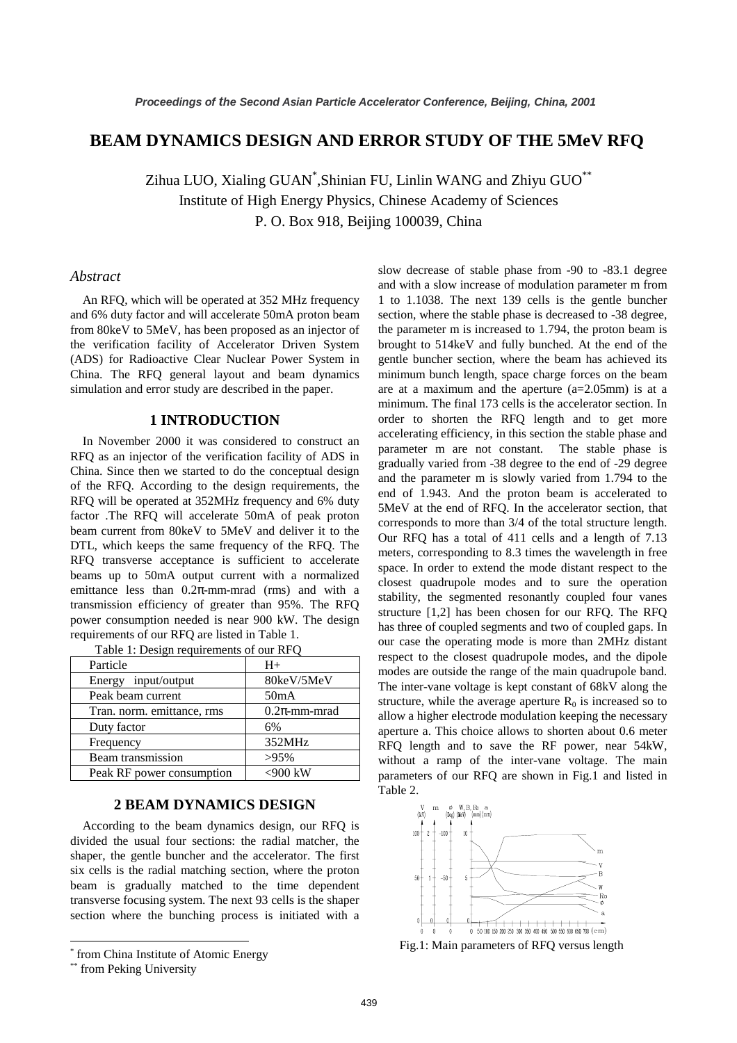# **BEAM DYNAMICS DESIGN AND ERROR STUDY OF THE 5MeV RFQ**

Zihua LUO, Xialing  $\mathrm{GUAN}^*$ ,Shinian FU, Linlin WANG and Zhiyu  $\mathrm{GUO}^{**}$ Institute of High Energy Physics, Chinese Academy of Sciences P. O. Box 918, Beijing 100039, China

### *Abstract*

An RFQ, which will be operated at 352 MHz frequency and 6% duty factor and will accelerate 50mA proton beam from 80keV to 5MeV, has been proposed as an injector of the verification facility of Accelerator Driven System (ADS) for Radioactive Clear Nuclear Power System in China. The RFQ general layout and beam dynamics simulation and error study are described in the paper.

#### **1 INTRODUCTION**

In November 2000 it was considered to construct an RFQ as an injector of the verification facility of ADS in China. Since then we started to do the conceptual design of the RFQ. According to the design requirements, the RFQ will be operated at 352MHz frequency and 6% duty factor .The RFQ will accelerate 50mA of peak proton beam current from 80keV to 5MeV and deliver it to the DTL, which keeps the same frequency of the RFQ. The RFQ transverse acceptance is sufficient to accelerate beams up to 50mA output current with a normalized emittance less than  $0.2\pi$ -mm-mrad (rms) and with a transmission efficiency of greater than 95%. The RFQ power consumption needed is near 900 kW. The design requirements of our RFQ are listed in Table 1.

| Particle                   | $H+$              |  |  |  |
|----------------------------|-------------------|--|--|--|
| Energy input/output        | 80keV/5MeV        |  |  |  |
| Peak beam current          | 50 <sub>m</sub> A |  |  |  |
| Tran. norm. emittance, rms | $0.2\pi$ -mm-mrad |  |  |  |
| Duty factor                | 6%                |  |  |  |
| Frequency                  | 352MHz            |  |  |  |
| Beam transmission          | $>95\%$           |  |  |  |
| Peak RF power consumption  | $<$ 900 kW        |  |  |  |

|  |  |  |  | Table 1: Design requirements of our RFO |  |  |
|--|--|--|--|-----------------------------------------|--|--|

# **2 BEAM DYNAMICS DESIGN**

According to the beam dynamics design, our RFQ is divided the usual four sections: the radial matcher, the shaper, the gentle buncher and the accelerator. The first six cells is the radial matching section, where the proton beam is gradually matched to the time dependent transverse focusing system. The next 93 cells is the shaper section where the bunching process is initiated with a

 $\overline{a}$ 

slow decrease of stable phase from -90 to -83.1 degree and with a slow increase of modulation parameter m from 1 to 1.1038. The next 139 cells is the gentle buncher section, where the stable phase is decreased to -38 degree, the parameter m is increased to 1.794, the proton beam is brought to 514keV and fully bunched. At the end of the gentle buncher section, where the beam has achieved its minimum bunch length, space charge forces on the beam are at a maximum and the aperture  $(a=2.05$ mm) is at a minimum. The final 173 cells is the accelerator section. In order to shorten the RFQ length and to get more accelerating efficiency, in this section the stable phase and parameter m are not constant. The stable phase is gradually varied from -38 degree to the end of -29 degree and the parameter m is slowly varied from 1.794 to the end of 1.943. And the proton beam is accelerated to 5MeV at the end of RFQ. In the accelerator section, that corresponds to more than 3/4 of the total structure length. Our RFQ has a total of 411 cells and a length of 7.13 meters, corresponding to 8.3 times the wavelength in free space. In order to extend the mode distant respect to the closest quadrupole modes and to sure the operation stability, the segmented resonantly coupled four vanes structure [1,2] has been chosen for our RFQ. The RFQ has three of coupled segments and two of coupled gaps. In our case the operating mode is more than 2MHz distant respect to the closest quadrupole modes, and the dipole modes are outside the range of the main quadrupole band. The inter-vane voltage is kept constant of 68kV along the structure, while the average aperture  $R_0$  is increased so to allow a higher electrode modulation keeping the necessary aperture a. This choice allows to shorten about 0.6 meter RFQ length and to save the RF power, near 54kW, without a ramp of the inter-vane voltage. The main parameters of our RFQ are shown in Fig.1 and listed in Table 2.



Fig.1: Main parameters of RFQ versus length

<sup>\*</sup> from China Institute of Atomic Energy

<sup>\*\*</sup> from Peking University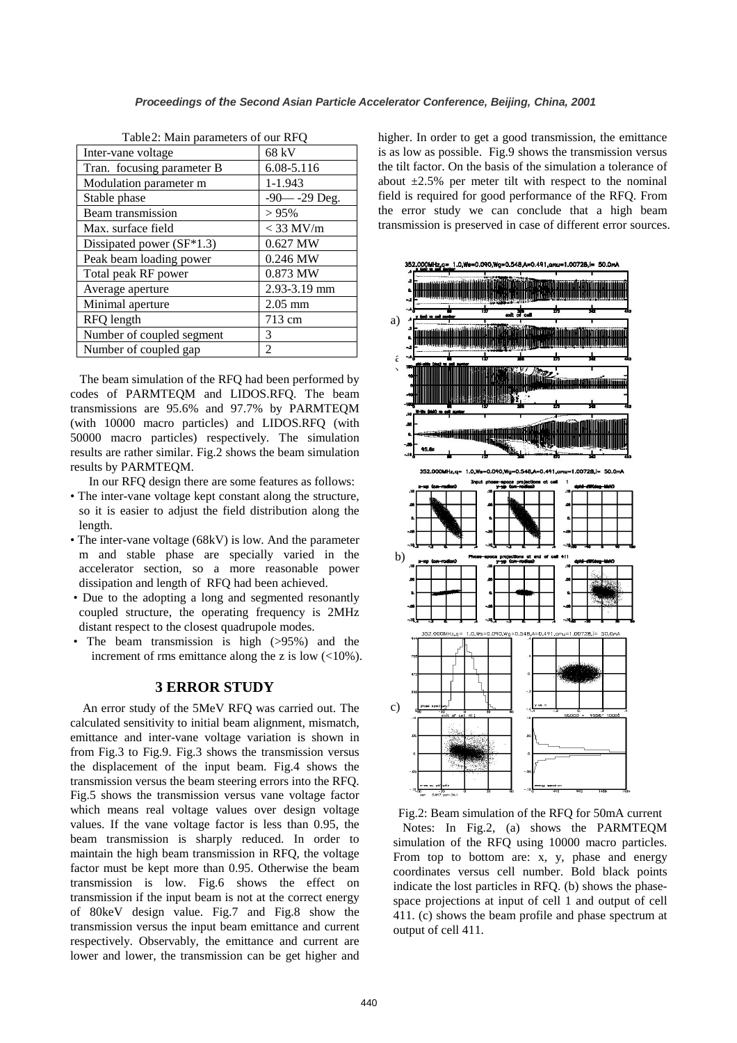| Table 2: Main parameters of our RFQ |                  |  |  |  |
|-------------------------------------|------------------|--|--|--|
| Inter-vane voltage                  | 68 kV            |  |  |  |
| Tran. focusing parameter B          | 6.08-5.116       |  |  |  |
| Modulation parameter m              | 1-1.943          |  |  |  |
| Stable phase                        | $-90 - -29$ Deg. |  |  |  |
| Beam transmission                   | >95%             |  |  |  |
| Max. surface field                  | $<$ 33 MV/m      |  |  |  |
| Dissipated power (SF*1.3)           | 0.627 MW         |  |  |  |
| Peak beam loading power             | 0.246 MW         |  |  |  |
| Total peak RF power                 | 0.873 MW         |  |  |  |
| Average aperture                    | 2.93-3.19 mm     |  |  |  |
| Minimal aperture                    | $2.05$ mm        |  |  |  |
| RFQ length                          | 713 cm           |  |  |  |
| Number of coupled segment           | 3                |  |  |  |
| Number of coupled gap               | 2                |  |  |  |

Table2: Main parameters of our RFQ

 The beam simulation of the RFQ had been performed by codes of PARMTEQM and LIDOS.RFQ. The beam transmissions are 95.6% and 97.7% by PARMTEQM (with 10000 macro particles) and LIDOS.RFQ (with 50000 macro particles) respectively. The simulation results are rather similar. Fig.2 shows the beam simulation results by PARMTEQM.

In our RFQ design there are some features as follows:

- The inter-vane voltage kept constant along the structure, so it is easier to adjust the field distribution along the length.
- The inter-vane voltage (68kV) is low. And the parameter m and stable phase are specially varied in the accelerator section, so a more reasonable power dissipation and length of RFQ had been achieved.
- Due to the adopting a long and segmented resonantly coupled structure, the operating frequency is 2MHz distant respect to the closest quadrupole modes.
- The beam transmission is high (>95%) and the increment of rms emittance along the z is low  $\left($ <10%).

## **3 ERROR STUDY**

An error study of the 5MeV RFQ was carried out. The calculated sensitivity to initial beam alignment, mismatch, emittance and inter-vane voltage variation is shown in from Fig.3 to Fig.9. Fig.3 shows the transmission versus the displacement of the input beam. Fig.4 shows the transmission versus the beam steering errors into the RFQ. Fig.5 shows the transmission versus vane voltage factor which means real voltage values over design voltage values. If the vane voltage factor is less than 0.95, the beam transmission is sharply reduced. In order to maintain the high beam transmission in RFQ, the voltage factor must be kept more than 0.95. Otherwise the beam transmission is low. Fig.6 shows the effect on transmission if the input beam is not at the correct energy of 80keV design value. Fig.7 and Fig.8 show the transmission versus the input beam emittance and current respectively. Observably, the emittance and current are lower and lower, the transmission can be get higher and higher. In order to get a good transmission, the emittance is as low as possible. Fig.9 shows the transmission versus the tilt factor. On the basis of the simulation a tolerance of about  $\pm 2.5\%$  per meter tilt with respect to the nominal field is required for good performance of the RFQ. From the error study we can conclude that a high beam transmission is preserved in case of different error sources.



Fig.2: Beam simulation of the RFQ for 50mA current Notes: In Fig.2, (a) shows the PARMTEQM simulation of the RFQ using 10000 macro particles. From top to bottom are: x, y, phase and energy coordinates versus cell number. Bold black points indicate the lost particles in RFQ. (b) shows the phasespace projections at input of cell 1 and output of cell 411. (c) shows the beam profile and phase spectrum at output of cell 411.